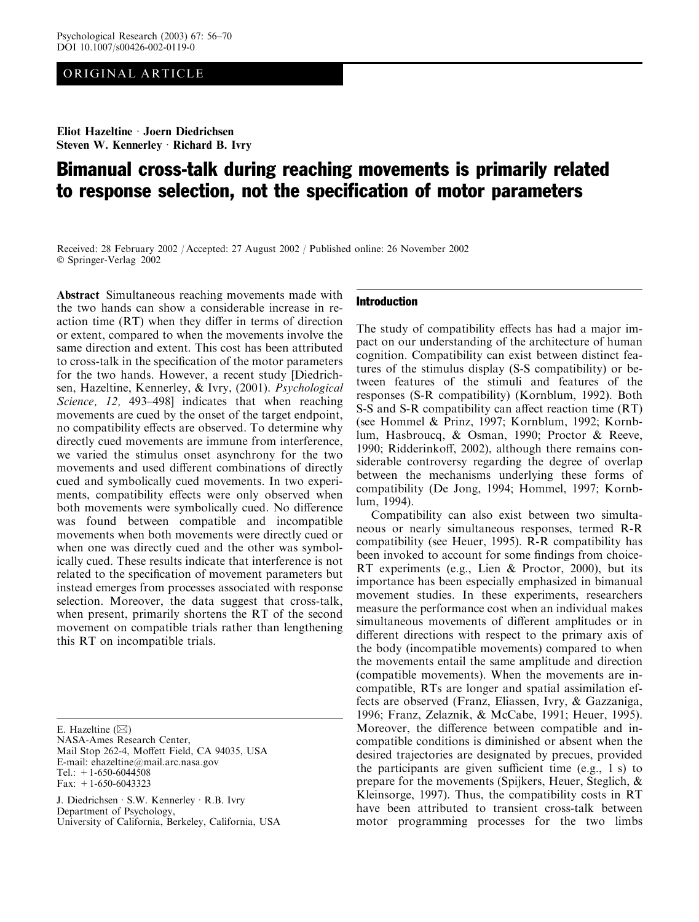# ORIGINAL ARTICLE

Eliot Hazeltine  $\cdot$  Joern Diedrichsen Steven W. Kennerley · Richard B. Ivry

# Bimanual cross-talk during reaching movements is primarily related to response selection, not the specification of motor parameters

Received: 28 February 2002 / Accepted: 27 August 2002 / Published online: 26 November 2002 Springer-Verlag 2002

Abstract Simultaneous reaching movements made with the two hands can show a considerable increase in reaction time (RT) when they differ in terms of direction or extent, compared to when the movements involve the same direction and extent. This cost has been attributed to cross-talk in the specification of the motor parameters for the two hands. However, a recent study [Diedrichsen, Hazeltine, Kennerley, & Ivry, (2001). Psychological Science, 12, 493-498] indicates that when reaching movements are cued by the onset of the target endpoint, no compatibility effects are observed. To determine why directly cued movements are immune from interference, we varied the stimulus onset asynchrony for the two movements and used different combinations of directly cued and symbolically cued movements. In two experiments, compatibility effects were only observed when both movements were symbolically cued. No difference was found between compatible and incompatible movements when both movements were directly cued or when one was directly cued and the other was symbolically cued. These results indicate that interference is not related to the specification of movement parameters but instead emerges from processes associated with response selection. Moreover, the data suggest that cross-talk, when present, primarily shortens the RT of the second movement on compatible trials rather than lengthening this RT on incompatible trials.

E. Hazeltine  $(\boxtimes)$ 

NASA-Ames Research Center, Mail Stop 262-4, Moffett Field, CA 94035, USA E-mail: ehazeltine@mail.arc.nasa.gov Tel.:  $+1-650-6044508$ Fax: +1-650-6043323

J. Diedrichsen · S.W. Kennerley · R.B. Ivry Department of Psychology, University of California, Berkeley, California, USA

# Introduction

The study of compatibility effects has had a major impact on our understanding of the architecture of human cognition. Compatibility can exist between distinct features of the stimulus display (S-S compatibility) or between features of the stimuli and features of the responses (S-R compatibility) (Kornblum, 1992). Both S-S and S-R compatibility can affect reaction time (RT) (see Hommel & Prinz, 1997; Kornblum, 1992; Kornblum, Hasbroucq, & Osman, 1990; Proctor & Reeve, 1990; Ridderinkoff, 2002), although there remains considerable controversy regarding the degree of overlap between the mechanisms underlying these forms of compatibility (De Jong, 1994; Hommel, 1997; Kornblum, 1994).

Compatibility can also exist between two simultaneous or nearly simultaneous responses, termed R-R compatibility (see Heuer, 1995). R-R compatibility has been invoked to account for some findings from choice-RT experiments (e.g., Lien & Proctor, 2000), but its importance has been especially emphasized in bimanual movement studies. In these experiments, researchers measure the performance cost when an individual makes simultaneous movements of different amplitudes or in different directions with respect to the primary axis of the body (incompatible movements) compared to when the movements entail the same amplitude and direction (compatible movements). When the movements are incompatible, RTs are longer and spatial assimilation effects are observed (Franz, Eliassen, Ivry, & Gazzaniga, 1996; Franz, Zelaznik, & McCabe, 1991; Heuer, 1995). Moreover, the difference between compatible and incompatible conditions is diminished or absent when the desired trajectories are designated by precues, provided the participants are given sufficient time (e.g., 1 s) to prepare for the movements (Spijkers, Heuer, Steglich, & Kleinsorge, 1997). Thus, the compatibility costs in RT have been attributed to transient cross-talk between motor programming processes for the two limbs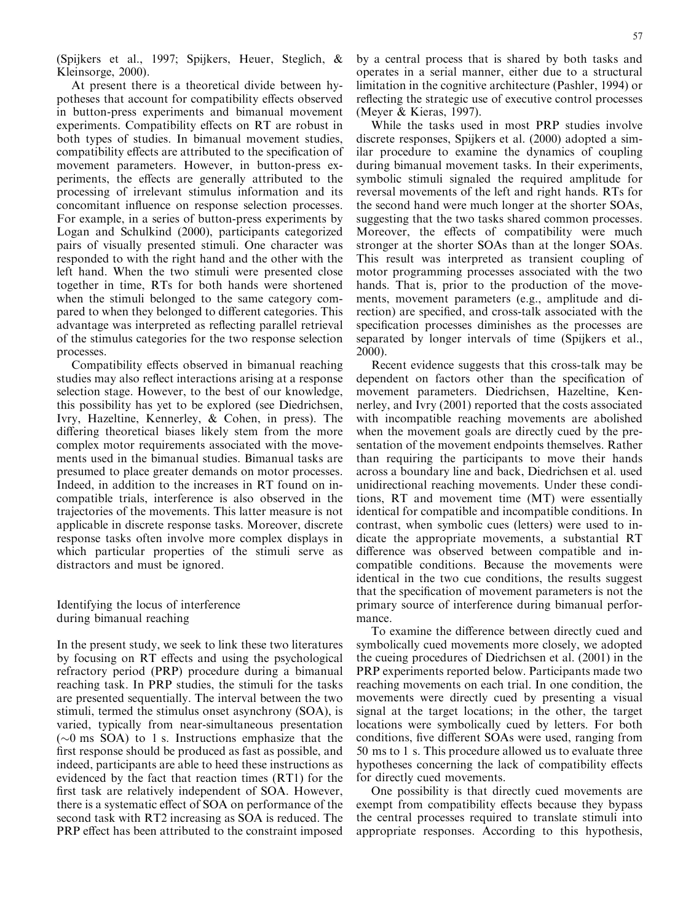(Spijkers et al., 1997; Spijkers, Heuer, Steglich, & Kleinsorge, 2000).

At present there is a theoretical divide between hypotheses that account for compatibility effects observed in button-press experiments and bimanual movement experiments. Compatibility effects on RT are robust in both types of studies. In bimanual movement studies, compatibility effects are attributed to the specification of movement parameters. However, in button-press experiments, the effects are generally attributed to the processing of irrelevant stimulus information and its concomitant influence on response selection processes. For example, in a series of button-press experiments by Logan and Schulkind (2000), participants categorized pairs of visually presented stimuli. One character was responded to with the right hand and the other with the left hand. When the two stimuli were presented close together in time, RTs for both hands were shortened when the stimuli belonged to the same category compared to when they belonged to different categories. This advantage was interpreted as reflecting parallel retrieval of the stimulus categories for the two response selection processes.

Compatibility effects observed in bimanual reaching studies may also reflect interactions arising at a response selection stage. However, to the best of our knowledge, this possibility has yet to be explored (see Diedrichsen, Ivry, Hazeltine, Kennerley, & Cohen, in press). The differing theoretical biases likely stem from the more complex motor requirements associated with the movements used in the bimanual studies. Bimanual tasks are presumed to place greater demands on motor processes. Indeed, in addition to the increases in RT found on incompatible trials, interference is also observed in the trajectories of the movements. This latter measure is not applicable in discrete response tasks. Moreover, discrete response tasks often involve more complex displays in which particular properties of the stimuli serve as distractors and must be ignored.

Identifying the locus of interference during bimanual reaching

In the present study, we seek to link these two literatures by focusing on RT effects and using the psychological refractory period (PRP) procedure during a bimanual reaching task. In PRP studies, the stimuli for the tasks are presented sequentially. The interval between the two stimuli, termed the stimulus onset asynchrony (SOA), is varied, typically from near-simultaneous presentation  $(\sim 0$  ms SOA) to 1 s. Instructions emphasize that the first response should be produced as fast as possible, and indeed, participants are able to heed these instructions as evidenced by the fact that reaction times (RT1) for the first task are relatively independent of SOA. However, there is a systematic effect of SOA on performance of the second task with RT2 increasing as SOA is reduced. The PRP effect has been attributed to the constraint imposed by a central process that is shared by both tasks and operates in a serial manner, either due to a structural limitation in the cognitive architecture (Pashler, 1994) or reflecting the strategic use of executive control processes (Meyer & Kieras, 1997).

While the tasks used in most PRP studies involve discrete responses, Spijkers et al. (2000) adopted a similar procedure to examine the dynamics of coupling during bimanual movement tasks. In their experiments, symbolic stimuli signaled the required amplitude for reversal movements of the left and right hands. RTs for the second hand were much longer at the shorter SOAs, suggesting that the two tasks shared common processes. Moreover, the effects of compatibility were much stronger at the shorter SOAs than at the longer SOAs. This result was interpreted as transient coupling of motor programming processes associated with the two hands. That is, prior to the production of the movements, movement parameters (e.g., amplitude and direction) are specified, and cross-talk associated with the specification processes diminishes as the processes are separated by longer intervals of time (Spijkers et al., 2000).

Recent evidence suggests that this cross-talk may be dependent on factors other than the specification of movement parameters. Diedrichsen, Hazeltine, Kennerley, and Ivry (2001) reported that the costs associated with incompatible reaching movements are abolished when the movement goals are directly cued by the presentation of the movement endpoints themselves. Rather than requiring the participants to move their hands across a boundary line and back, Diedrichsen et al. used unidirectional reaching movements. Under these conditions, RT and movement time (MT) were essentially identical for compatible and incompatible conditions. In contrast, when symbolic cues (letters) were used to indicate the appropriate movements, a substantial RT difference was observed between compatible and incompatible conditions. Because the movements were identical in the two cue conditions, the results suggest that the specification of movement parameters is not the primary source of interference during bimanual performance.

To examine the difference between directly cued and symbolically cued movements more closely, we adopted the cueing procedures of Diedrichsen et al. (2001) in the PRP experiments reported below. Participants made two reaching movements on each trial. In one condition, the movements were directly cued by presenting a visual signal at the target locations; in the other, the target locations were symbolically cued by letters. For both conditions, five different SOAs were used, ranging from 50 ms to 1 s. This procedure allowed us to evaluate three hypotheses concerning the lack of compatibility effects for directly cued movements.

One possibility is that directly cued movements are exempt from compatibility effects because they bypass the central processes required to translate stimuli into appropriate responses. According to this hypothesis,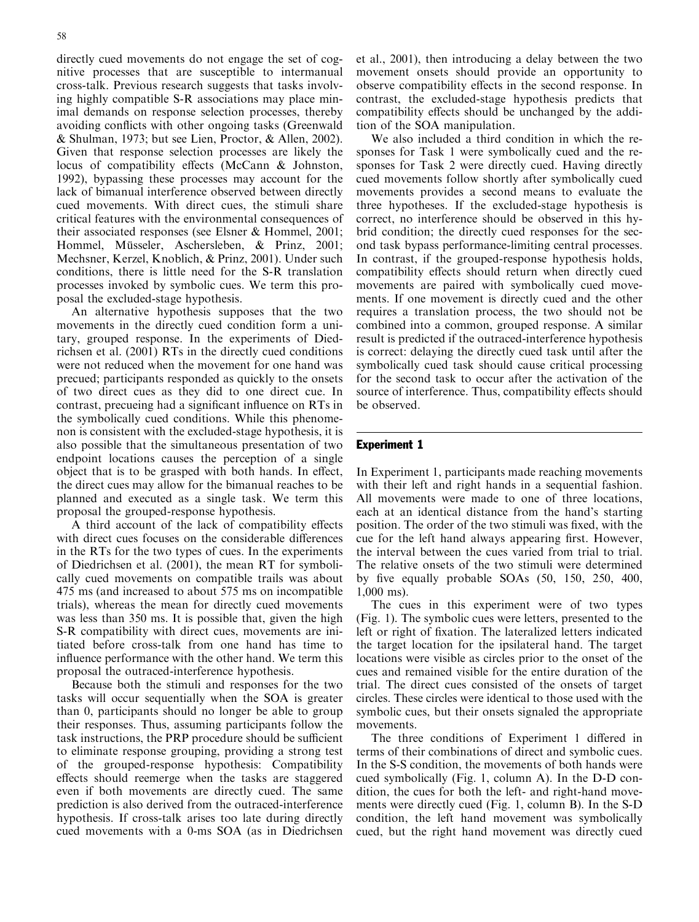directly cued movements do not engage the set of cognitive processes that are susceptible to intermanual cross-talk. Previous research suggests that tasks involving highly compatible S-R associations may place minimal demands on response selection processes, thereby avoiding conflicts with other ongoing tasks (Greenwald & Shulman, 1973; but see Lien, Proctor, & Allen, 2002). Given that response selection processes are likely the locus of compatibility effects (McCann & Johnston, 1992), bypassing these processes may account for the lack of bimanual interference observed between directly cued movements. With direct cues, the stimuli share critical features with the environmental consequences of their associated responses (see Elsner & Hommel, 2001; Hommel, Müsseler, Aschersleben, & Prinz, 2001; Mechsner, Kerzel, Knoblich, & Prinz, 2001). Under such conditions, there is little need for the S-R translation processes invoked by symbolic cues. We term this proposal the excluded-stage hypothesis.

An alternative hypothesis supposes that the two movements in the directly cued condition form a unitary, grouped response. In the experiments of Diedrichsen et al. (2001) RTs in the directly cued conditions were not reduced when the movement for one hand was precued; participants responded as quickly to the onsets of two direct cues as they did to one direct cue. In contrast, precueing had a significant influence on RTs in the symbolically cued conditions. While this phenomenon is consistent with the excluded-stage hypothesis, it is also possible that the simultaneous presentation of two endpoint locations causes the perception of a single object that is to be grasped with both hands. In effect, the direct cues may allow for the bimanual reaches to be planned and executed as a single task. We term this proposal the grouped-response hypothesis.

A third account of the lack of compatibility effects with direct cues focuses on the considerable differences in the RTs for the two types of cues. In the experiments of Diedrichsen et al. (2001), the mean RT for symbolically cued movements on compatible trails was about 475 ms (and increased to about 575 ms on incompatible trials), whereas the mean for directly cued movements was less than 350 ms. It is possible that, given the high S-R compatibility with direct cues, movements are initiated before cross-talk from one hand has time to influence performance with the other hand. We term this proposal the outraced-interference hypothesis.

Because both the stimuli and responses for the two tasks will occur sequentially when the SOA is greater than 0, participants should no longer be able to group their responses. Thus, assuming participants follow the task instructions, the PRP procedure should be sufficient to eliminate response grouping, providing a strong test of the grouped-response hypothesis: Compatibility effects should reemerge when the tasks are staggered even if both movements are directly cued. The same prediction is also derived from the outraced-interference hypothesis. If cross-talk arises too late during directly cued movements with a 0-ms SOA (as in Diedrichsen et al., 2001), then introducing a delay between the two movement onsets should provide an opportunity to observe compatibility effects in the second response. In contrast, the excluded-stage hypothesis predicts that compatibility effects should be unchanged by the addition of the SOA manipulation.

We also included a third condition in which the responses for Task 1 were symbolically cued and the responses for Task 2 were directly cued. Having directly cued movements follow shortly after symbolically cued movements provides a second means to evaluate the three hypotheses. If the excluded-stage hypothesis is correct, no interference should be observed in this hybrid condition; the directly cued responses for the second task bypass performance-limiting central processes. In contrast, if the grouped-response hypothesis holds, compatibility effects should return when directly cued movements are paired with symbolically cued movements. If one movement is directly cued and the other requires a translation process, the two should not be combined into a common, grouped response. A similar result is predicted if the outraced-interference hypothesis is correct: delaying the directly cued task until after the symbolically cued task should cause critical processing for the second task to occur after the activation of the source of interference. Thus, compatibility effects should be observed.

# Experiment 1

In Experiment 1, participants made reaching movements with their left and right hands in a sequential fashion. All movements were made to one of three locations, each at an identical distance from the hand's starting position. The order of the two stimuli was fixed, with the cue for the left hand always appearing first. However, the interval between the cues varied from trial to trial. The relative onsets of the two stimuli were determined by five equally probable SOAs (50, 150, 250, 400, 1,000 ms).

The cues in this experiment were of two types (Fig. 1). The symbolic cues were letters, presented to the left or right of fixation. The lateralized letters indicated the target location for the ipsilateral hand. The target locations were visible as circles prior to the onset of the cues and remained visible for the entire duration of the trial. The direct cues consisted of the onsets of target circles. These circles were identical to those used with the symbolic cues, but their onsets signaled the appropriate movements.

The three conditions of Experiment 1 differed in terms of their combinations of direct and symbolic cues. In the S-S condition, the movements of both hands were cued symbolically (Fig. 1, column A). In the D-D condition, the cues for both the left- and right-hand movements were directly cued (Fig. 1, column B). In the S-D condition, the left hand movement was symbolically cued, but the right hand movement was directly cued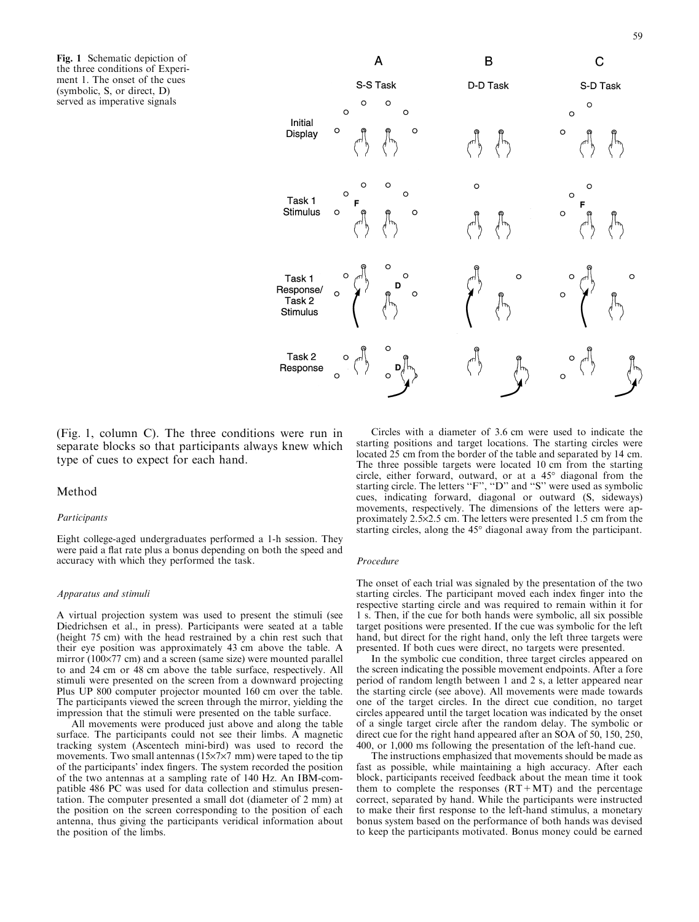Fig. 1 Schematic depiction of the three conditions of Experiment 1. The onset of the cues (symbolic, S, or direct, D) served as imperative signals



(Fig. 1, column C). The three conditions were run in separate blocks so that participants always knew which type of cues to expect for each hand.

#### Method

### Participants

Eight college-aged undergraduates performed a 1-h session. They were paid a flat rate plus a bonus depending on both the speed and accuracy with which they performed the task.

#### Apparatus and stimuli

A virtual projection system was used to present the stimuli (see Diedrichsen et al., in press). Participants were seated at a table (height 75 cm) with the head restrained by a chin rest such that their eye position was approximately 43 cm above the table. A mirror  $(100\times77$  cm) and a screen (same size) were mounted parallel to and 24 cm or 48 cm above the table surface, respectively. All stimuli were presented on the screen from a downward projecting Plus UP 800 computer projector mounted 160 cm over the table. The participants viewed the screen through the mirror, yielding the impression that the stimuli were presented on the table surface.

All movements were produced just above and along the table surface. The participants could not see their limbs. A magnetic tracking system (Ascentech mini-bird) was used to record the movements. Two small antennas ( $15\times7\times7$  mm) were taped to the tip of the participants' index fingers. The system recorded the position of the two antennas at a sampling rate of 140 Hz. An IBM-compatible 486 PC was used for data collection and stimulus presentation. The computer presented a small dot (diameter of 2 mm) at the position on the screen corresponding to the position of each antenna, thus giving the participants veridical information about the position of the limbs.

Circles with a diameter of 3.6 cm were used to indicate the starting positions and target locations. The starting circles were located 25 cm from the border of the table and separated by 14 cm. The three possible targets were located 10 cm from the starting circle, either forward, outward, or at a 45° diagonal from the starting circle. The letters "F", "D" and "S" were used as symbolic cues, indicating forward, diagonal or outward (S, sideways) movements, respectively. The dimensions of the letters were approximately 2.5·2.5 cm. The letters were presented 1.5 cm from the starting circles, along the  $45^{\circ}$  diagonal away from the participant.

#### Procedure

The onset of each trial was signaled by the presentation of the two starting circles. The participant moved each index finger into the respective starting circle and was required to remain within it for 1 s. Then, if the cue for both hands were symbolic, all six possible target positions were presented. If the cue was symbolic for the left hand, but direct for the right hand, only the left three targets were presented. If both cues were direct, no targets were presented.

In the symbolic cue condition, three target circles appeared on the screen indicating the possible movement endpoints. After a fore period of random length between 1 and 2 s, a letter appeared near the starting circle (see above). All movements were made towards one of the target circles. In the direct cue condition, no target circles appeared until the target location was indicated by the onset of a single target circle after the random delay. The symbolic or direct cue for the right hand appeared after an SOA of 50, 150, 250, 400, or 1,000 ms following the presentation of the left-hand cue.

The instructions emphasized that movements should be made as fast as possible, while maintaining a high accuracy. After each block, participants received feedback about the mean time it took them to complete the responses  $(RT+MT)$  and the percentage correct, separated by hand. While the participants were instructed to make their first response to the left-hand stimulus, a monetary bonus system based on the performance of both hands was devised to keep the participants motivated. Bonus money could be earned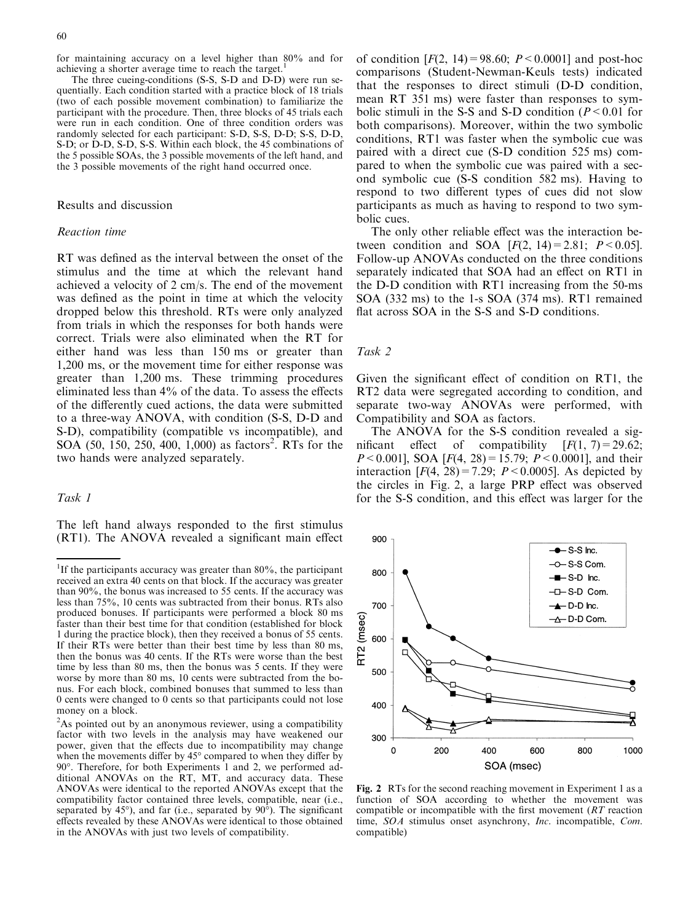for maintaining accuracy on a level higher than 80% and for achieving a shorter average time to reach the target.

The three cueing-conditions (S-S, S-D and D-D) were run sequentially. Each condition started with a practice block of 18 trials (two of each possible movement combination) to familiarize the participant with the procedure. Then, three blocks of 45 trials each were run in each condition. One of three condition orders was randomly selected for each participant: S-D, S-S, D-D; S-S, D-D, S-D; or D-D, S-D, S-S. Within each block, the 45 combinations of the 5 possible SOAs, the 3 possible movements of the left hand, and the 3 possible movements of the right hand occurred once.

# Results and discussion

### Reaction time

RT was defined as the interval between the onset of the stimulus and the time at which the relevant hand achieved a velocity of 2 cm/s. The end of the movement was defined as the point in time at which the velocity dropped below this threshold. RTs were only analyzed from trials in which the responses for both hands were correct. Trials were also eliminated when the RT for either hand was less than 150 ms or greater than 1,200 ms, or the movement time for either response was greater than 1,200 ms. These trimming procedures eliminated less than 4% of the data. To assess the effects of the differently cued actions, the data were submitted to a three-way ANOVA, with condition (S-S, D-D and S-D), compatibility (compatible vs incompatible), and  $SOA^{(50, 150, 250, 400, 1,000)}$  as factors<sup>2</sup>. RTs for the two hands were analyzed separately.

### Task 1

The left hand always responded to the first stimulus (RT1). The ANOVA revealed a significant main effect

of condition  $[F(2, 14) = 98.60; P \le 0.0001]$  and post-hoc comparisons (Student-Newman-Keuls tests) indicated that the responses to direct stimuli (D-D condition, mean RT 351 ms) were faster than responses to symbolic stimuli in the S-S and S-D condition  $(P < 0.01$  for both comparisons). Moreover, within the two symbolic conditions, RT1 was faster when the symbolic cue was paired with a direct cue (S-D condition 525 ms) compared to when the symbolic cue was paired with a second symbolic cue (S-S condition 582 ms). Having to respond to two different types of cues did not slow participants as much as having to respond to two symbolic cues.

The only other reliable effect was the interaction between condition and SOA  $[F(2, 14) = 2.81; P \le 0.05]$ . Follow-up ANOVAs conducted on the three conditions separately indicated that SOA had an effect on RT1 in the D-D condition with RT1 increasing from the 50-ms SOA (332 ms) to the 1-s SOA (374 ms). RT1 remained flat across SOA in the S-S and S-D conditions.

# Task 2

Given the significant effect of condition on RT1, the RT2 data were segregated according to condition, and separate two-way ANOVAs were performed, with Compatibility and SOA as factors.

The ANOVA for the S-S condition revealed a significant effect of compatibility  $[F(1, 7) = 29.62;$  $P < 0.001$ ], SOA [ $F(4, 28) = 15.79$ ;  $P < 0.0001$ ], and their interaction  $[F(4, 28) = 7.29; P \le 0.0005]$ . As depicted by the circles in Fig. 2, a large PRP effect was observed for the S-S condition, and this effect was larger for the



Fig. 2 RTs for the second reaching movement in Experiment 1 as a function of SOA according to whether the movement was compatible or incompatible with the first movement (RT reaction time, SOA stimulus onset asynchrony, Inc. incompatible, Com. compatible)

<sup>&</sup>lt;sup>1</sup>If the participants accuracy was greater than  $80\%$ , the participant received an extra 40 cents on that block. If the accuracy was greater than 90%, the bonus was increased to 55 cents. If the accuracy was less than 75%, 10 cents was subtracted from their bonus. RTs also produced bonuses. If participants were performed a block 80 ms faster than their best time for that condition (established for block 1 during the practice block), then they received a bonus of 55 cents. If their RTs were better than their best time by less than 80 ms, then the bonus was 40 cents. If the RTs were worse than the best time by less than 80 ms, then the bonus was 5 cents. If they were worse by more than 80 ms, 10 cents were subtracted from the bonus. For each block, combined bonuses that summed to less than 0 cents were changed to 0 cents so that participants could not lose money on a block.

<sup>&</sup>lt;sup>2</sup>As pointed out by an anonymous reviewer, using a compatibility factor with two levels in the analysis may have weakened our power, given that the effects due to incompatibility may change when the movements differ by  $45^{\circ}$  compared to when they differ by 90°. Therefore, for both Experiments 1 and 2, we performed additional ANOVAs on the RT, MT, and accuracy data. These ANOVAs were identical to the reported ANOVAs except that the compatibility factor contained three levels, compatible, near (i.e., separated by 45°), and far (i.e., separated by 90°). The significant effects revealed by these ANOVAs were identical to those obtained in the ANOVAs with just two levels of compatibility.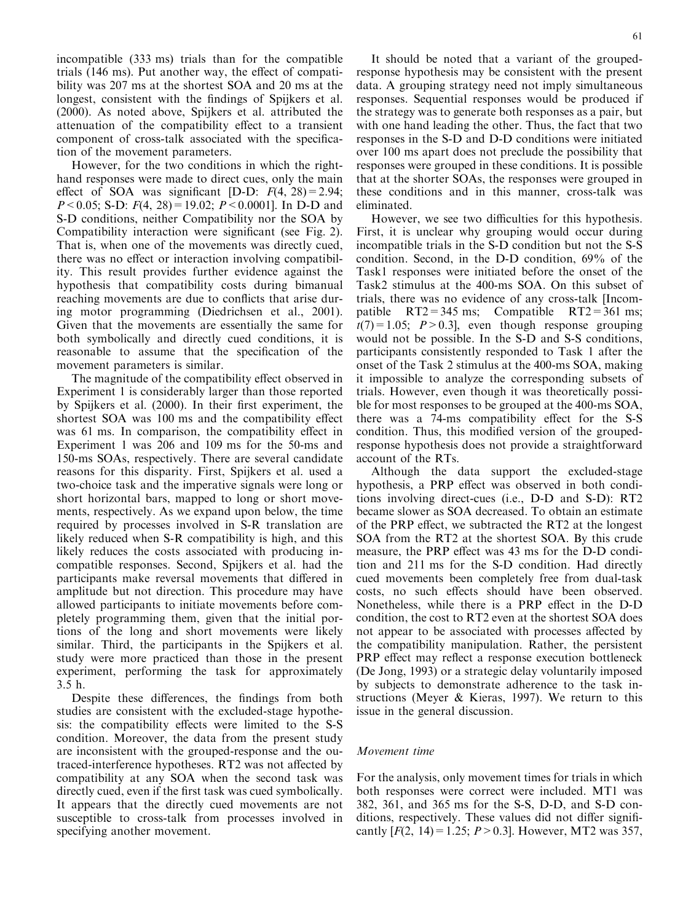incompatible (333 ms) trials than for the compatible trials (146 ms). Put another way, the effect of compatibility was 207 ms at the shortest SOA and 20 ms at the longest, consistent with the findings of Spijkers et al. (2000). As noted above, Spijkers et al. attributed the attenuation of the compatibility effect to a transient component of cross-talk associated with the specification of the movement parameters.

However, for the two conditions in which the righthand responses were made to direct cues, only the main effect of SOA was significant [D-D:  $F(4, 28) = 2.94$ ;  $P < 0.05$ ; S-D:  $F(4, 28) = 19.02$ ;  $P < 0.0001$ ]. In D-D and S-D conditions, neither Compatibility nor the SOA by Compatibility interaction were significant (see Fig. 2). That is, when one of the movements was directly cued, there was no effect or interaction involving compatibility. This result provides further evidence against the hypothesis that compatibility costs during bimanual reaching movements are due to conflicts that arise during motor programming (Diedrichsen et al., 2001). Given that the movements are essentially the same for both symbolically and directly cued conditions, it is reasonable to assume that the specification of the movement parameters is similar.

The magnitude of the compatibility effect observed in Experiment 1 is considerably larger than those reported by Spijkers et al. (2000). In their first experiment, the shortest SOA was 100 ms and the compatibility effect was 61 ms. In comparison, the compatibility effect in Experiment 1 was 206 and 109 ms for the 50-ms and 150-ms SOAs, respectively. There are several candidate reasons for this disparity. First, Spijkers et al. used a two-choice task and the imperative signals were long or short horizontal bars, mapped to long or short movements, respectively. As we expand upon below, the time required by processes involved in S-R translation are likely reduced when S-R compatibility is high, and this likely reduces the costs associated with producing incompatible responses. Second, Spijkers et al. had the participants make reversal movements that differed in amplitude but not direction. This procedure may have allowed participants to initiate movements before completely programming them, given that the initial portions of the long and short movements were likely similar. Third, the participants in the Spijkers et al. study were more practiced than those in the present experiment, performing the task for approximately 3.5 h.

Despite these differences, the findings from both studies are consistent with the excluded-stage hypothesis: the compatibility effects were limited to the S-S condition. Moreover, the data from the present study are inconsistent with the grouped-response and the outraced-interference hypotheses. RT2 was not affected by compatibility at any SOA when the second task was directly cued, even if the first task was cued symbolically. It appears that the directly cued movements are not susceptible to cross-talk from processes involved in specifying another movement.

It should be noted that a variant of the groupedresponse hypothesis may be consistent with the present data. A grouping strategy need not imply simultaneous responses. Sequential responses would be produced if the strategy was to generate both responses as a pair, but with one hand leading the other. Thus, the fact that two responses in the S-D and D-D conditions were initiated over 100 ms apart does not preclude the possibility that responses were grouped in these conditions. It is possible that at the shorter SOAs, the responses were grouped in these conditions and in this manner, cross-talk was eliminated.

However, we see two difficulties for this hypothesis. First, it is unclear why grouping would occur during incompatible trials in the S-D condition but not the S-S condition. Second, in the D-D condition, 69% of the Task1 responses were initiated before the onset of the Task2 stimulus at the 400-ms SOA. On this subset of trials, there was no evidence of any cross-talk [Incompatible  $RT2 = 345$  ms; Compatible  $RT2 = 361$  ms;  $t(7)=1.05$ ;  $P>0.3$ ], even though response grouping would not be possible. In the S-D and S-S conditions, participants consistently responded to Task 1 after the onset of the Task 2 stimulus at the 400-ms SOA, making it impossible to analyze the corresponding subsets of trials. However, even though it was theoretically possible for most responses to be grouped at the 400-ms SOA, there was a 74-ms compatibility effect for the S-S condition. Thus, this modified version of the groupedresponse hypothesis does not provide a straightforward account of the RTs.

Although the data support the excluded-stage hypothesis, a PRP effect was observed in both conditions involving direct-cues (i.e., D-D and S-D): RT2 became slower as SOA decreased. To obtain an estimate of the PRP effect, we subtracted the RT2 at the longest SOA from the RT2 at the shortest SOA. By this crude measure, the PRP effect was 43 ms for the D-D condition and 211 ms for the S-D condition. Had directly cued movements been completely free from dual-task costs, no such effects should have been observed. Nonetheless, while there is a PRP effect in the D-D condition, the cost to RT2 even at the shortest SOA does not appear to be associated with processes affected by the compatibility manipulation. Rather, the persistent PRP effect may reflect a response execution bottleneck (De Jong, 1993) or a strategic delay voluntarily imposed by subjects to demonstrate adherence to the task instructions (Meyer & Kieras, 1997). We return to this issue in the general discussion.

# Movement time

For the analysis, only movement times for trials in which both responses were correct were included. MT1 was 382, 361, and 365 ms for the S-S, D-D, and S-D conditions, respectively. These values did not differ significantly  $[F(2, 14) = 1.25; P > 0.3]$ . However, MT2 was 357,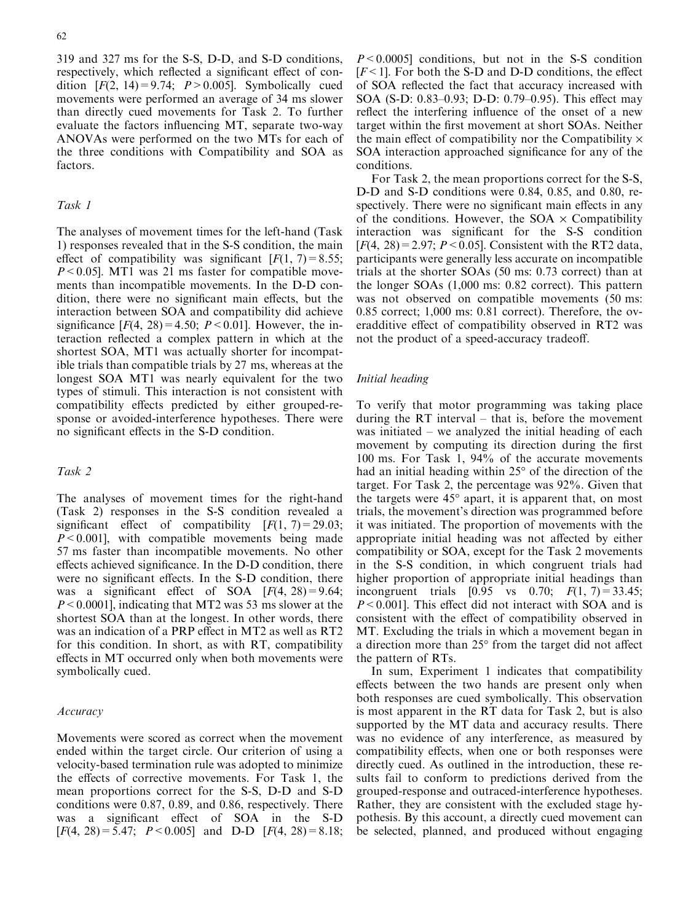319 and 327 ms for the S-S, D-D, and S-D conditions, respectively, which reflected a significant effect of condition  $[F(2, 14)=9.74; P>0.005]$ . Symbolically cued movements were performed an average of 34 ms slower than directly cued movements for Task 2. To further evaluate the factors influencing MT, separate two-way ANOVAs were performed on the two MTs for each of the three conditions with Compatibility and SOA as factors.

# Task 1

The analyses of movement times for the left-hand (Task 1) responses revealed that in the S-S condition, the main effect of compatibility was significant  $[F(1, 7) = 8.55;$  $P \le 0.05$ ]. MT1 was 21 ms faster for compatible movements than incompatible movements. In the D-D condition, there were no significant main effects, but the interaction between SOA and compatibility did achieve significance  $[F(4, 28) = 4.50; P < 0.01]$ . However, the interaction reflected a complex pattern in which at the shortest SOA, MT1 was actually shorter for incompatible trials than compatible trials by 27 ms, whereas at the longest SOA MT1 was nearly equivalent for the two types of stimuli. This interaction is not consistent with compatibility effects predicted by either grouped-response or avoided-interference hypotheses. There were no significant effects in the S-D condition.

# Task 2

The analyses of movement times for the right-hand (Task 2) responses in the S-S condition revealed a significant effect of compatibility  $[F(1, 7) = 29.03;$  $P \le 0.001$ , with compatible movements being made 57 ms faster than incompatible movements. No other effects achieved significance. In the D-D condition, there were no significant effects. In the S-D condition, there was a significant effect of SOA  $[F(4, 28) = 9.64;$  $P \le 0.0001$ , indicating that MT2 was 53 ms slower at the shortest SOA than at the longest. In other words, there was an indication of a PRP effect in MT2 as well as RT2 for this condition. In short, as with RT, compatibility effects in MT occurred only when both movements were symbolically cued.

### Accuracy

Movements were scored as correct when the movement ended within the target circle. Our criterion of using a velocity-based termination rule was adopted to minimize the effects of corrective movements. For Task 1, the mean proportions correct for the S-S, D-D and S-D conditions were 0.87, 0.89, and 0.86, respectively. There was a significant effect of SOA in the S-D  $[F(4, 28) = 5.47; P < 0.005]$  and D-D  $[F(4, 28) = 8.18;$ 

 $P \le 0.0005$ ] conditions, but not in the S-S condition  $[F<1]$ . For both the S-D and D-D conditions, the effect of SOA reflected the fact that accuracy increased with SOA (S-D: 0.83–0.93; D-D: 0.79–0.95). This effect may reflect the interfering influence of the onset of a new target within the first movement at short SOAs. Neither the main effect of compatibility nor the Compatibility  $\times$ SOA interaction approached significance for any of the conditions.

For Task 2, the mean proportions correct for the S-S, D-D and S-D conditions were 0.84, 0.85, and 0.80, respectively. There were no significant main effects in any of the conditions. However, the  $SOA \times Compatibility$ interaction was significant for the S-S condition  $[F(4, 28) = 2.97; P < 0.05]$ . Consistent with the RT2 data, participants were generally less accurate on incompatible trials at the shorter SOAs (50 ms: 0.73 correct) than at the longer SOAs (1,000 ms: 0.82 correct). This pattern was not observed on compatible movements (50 ms: 0.85 correct; 1,000 ms: 0.81 correct). Therefore, the overadditive effect of compatibility observed in RT2 was not the product of a speed-accuracy tradeoff.

# Initial heading

To verify that motor programming was taking place during the RT interval – that is, before the movement was initiated – we analyzed the initial heading of each movement by computing its direction during the first 100 ms. For Task 1, 94% of the accurate movements had an initial heading within  $25^{\circ}$  of the direction of the target. For Task 2, the percentage was 92%. Given that the targets were  $45^{\circ}$  apart, it is apparent that, on most trials, the movement's direction was programmed before it was initiated. The proportion of movements with the appropriate initial heading was not affected by either compatibility or SOA, except for the Task 2 movements in the S-S condition, in which congruent trials had higher proportion of appropriate initial headings than incongruent trials  $[0.95 \text{ vs } 0.70; \text{ } F(1, 7) = 33.45;$  $P < 0.001$ . This effect did not interact with SOA and is consistent with the effect of compatibility observed in MT. Excluding the trials in which a movement began in a direction more than 25° from the target did not affect the pattern of RTs.

In sum, Experiment 1 indicates that compatibility effects between the two hands are present only when both responses are cued symbolically. This observation is most apparent in the RT data for Task 2, but is also supported by the MT data and accuracy results. There was no evidence of any interference, as measured by compatibility effects, when one or both responses were directly cued. As outlined in the introduction, these results fail to conform to predictions derived from the grouped-response and outraced-interference hypotheses. Rather, they are consistent with the excluded stage hypothesis. By this account, a directly cued movement can be selected, planned, and produced without engaging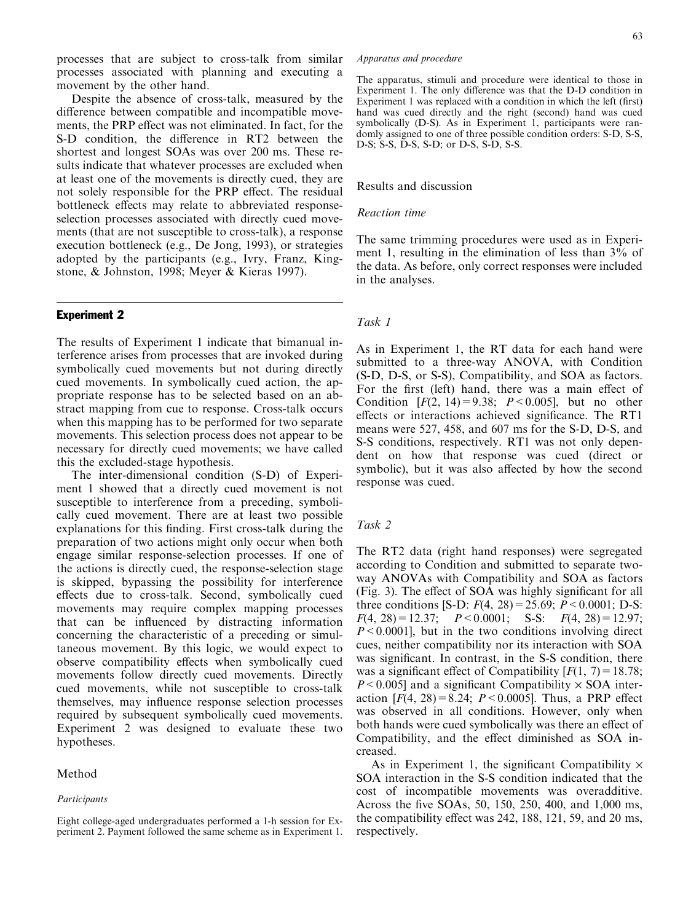processes that are subject to cross-talk from similar processes associated with planning and executing a movement by the other hand.

Despite the absence of cross-talk, measured by the difference between compatible and incompatible movements, the PRP effect was not eliminated. In fact, for the S-D condition, the difference in RT2 between the shortest and longest SOAs was over 200 ms. These results indicate that whatever processes are excluded when at least one of the movements is directly cued, they are not solely responsible for the PRP effect. The residual bottleneck effects may relate to abbreviated responseselection processes associated with directly cued movements (that are not susceptible to cross-talk), a response execution bottleneck (e.g., De Jong, 1993), or strategies adopted by the participants (e.g., Ivry, Franz, Kingstone, & Johnston, 1998; Meyer & Kieras 1997).

### Experiment 2

The results of Experiment 1 indicate that bimanual interference arises from processes that are invoked during symbolically cued movements but not during directly cued movements. In symbolically cued action, the appropriate response has to be selected based on an abstract mapping from cue to response. Cross-talk occurs when this mapping has to be performed for two separate movements. This selection process does not appear to be necessary for directly cued movements; we have called this the excluded-stage hypothesis.

The inter-dimensional condition (S-D) of Experiment 1 showed that a directly cued movement is not susceptible to interference from a preceding, symbolically cued movement. There are at least two possible explanations for this finding. First cross-talk during the preparation of two actions might only occur when both engage similar response-selection processes. If one of the actions is directly cued, the response-selection stage is skipped, bypassing the possibility for interference effects due to cross-talk. Second, symbolically cued movements may require complex mapping processes that can be influenced by distracting information concerning the characteristic of a preceding or simultaneous movement. By this logic, we would expect to observe compatibility effects when symbolically cued movements follow directly cued movements. Directly cued movements, while not susceptible to cross-talk themselves, may influence response selection processes required by subsequent symbolically cued movements. Experiment 2 was designed to evaluate these two hypotheses.

#### Method

#### **Participants**

### Apparatus and procedure

The apparatus, stimuli and procedure were identical to those in Experiment 1. The only difference was that the D-D condition in Experiment 1 was replaced with a condition in which the left (first) hand was cued directly and the right (second) hand was cued symbolically (D-S). As in Experiment 1, participants were randomly assigned to one of three possible condition orders: S-D, S-S, D-S; S-S, D-S, S-D; or D-S, S-D, S-S.

### Results and discussion

### Reaction time

The same trimming procedures were used as in Experiment 1, resulting in the elimination of less than 3% of the data. As before, only correct responses were included in the analyses.

### Task 1

As in Experiment 1, the RT data for each hand were submitted to a three-way ANOVA, with Condition (S-D, D-S, or S-S), Compatibility, and SOA as factors. For the first (left) hand, there was a main effect of Condition  $[F(2, 14) = 9.38; P \le 0.005]$ , but no other effects or interactions achieved significance. The RT1 means were 527, 458, and 607 ms for the S-D, D-S, and S-S conditions, respectively. RT1 was not only dependent on how that response was cued (direct or symbolic), but it was also affected by how the second response was cued.

# Task 2

The RT2 data (right hand responses) were segregated according to Condition and submitted to separate twoway ANOVAs with Compatibility and SOA as factors (Fig. 3). The effect of SOA was highly significant for all three conditions [S-D:  $F(4, 28) = 25.69$ ;  $P < 0.0001$ ; D-S:  $F(4, 28) = 12.37;$   $P < 0.0001;$  S-S:  $F(4, 28) = 12.97;$  $P < 0.0001$ ], but in the two conditions involving direct cues, neither compatibility nor its interaction with SOA was significant. In contrast, in the S-S condition, there was a significant effect of Compatibility  $[F(1, 7) = 18.78;$  $P \le 0.005$ ] and a significant Compatibility  $\times$  SOA interaction  $[F(4, 28) = 8.24; P \le 0.0005]$ . Thus, a PRP effect was observed in all conditions. However, only when both hands were cued symbolically was there an effect of Compatibility, and the effect diminished as SOA increased.

As in Experiment 1, the significant Compatibility  $\times$ SOA interaction in the S-S condition indicated that the cost of incompatible movements was overadditive. Across the five SOAs, 50, 150, 250, 400, and 1,000 ms, the compatibility effect was 242, 188, 121, 59, and 20 ms, respectively.

Eight college-aged undergraduates performed a 1-h session for Experiment 2. Payment followed the same scheme as in Experiment 1.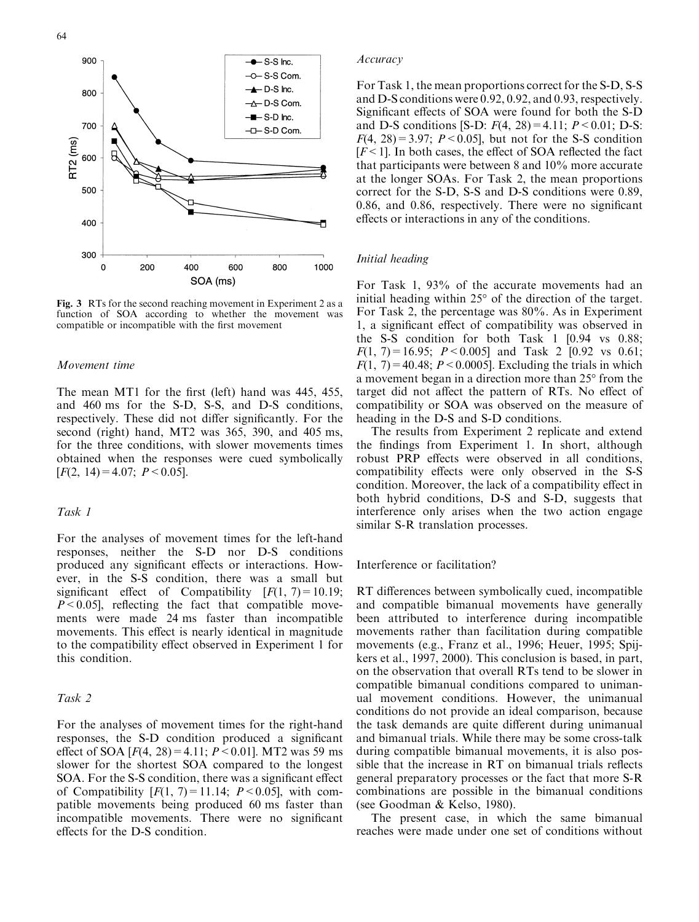

Fig. 3 RTs for the second reaching movement in Experiment 2 as a function of SOA according to whether the movement was compatible or incompatible with the first movement

#### Movement time

The mean MT1 for the first (left) hand was 445, 455, and 460 ms for the S-D, S-S, and D-S conditions, respectively. These did not differ significantly. For the second (right) hand, MT2 was 365, 390, and 405 ms, for the three conditions, with slower movements times obtained when the responses were cued symbolically  $[F(2, 14)=4.07; P \le 0.05]$ .

# Task 1

For the analyses of movement times for the left-hand responses, neither the S-D nor D-S conditions produced any significant effects or interactions. However, in the S-S condition, there was a small but significant effect of Compatibility  $[F(1, 7) = 10.19;$  $P \le 0.05$ , reflecting the fact that compatible movements were made 24 ms faster than incompatible movements. This effect is nearly identical in magnitude to the compatibility effect observed in Experiment 1 for this condition.

# Task 2

For the analyses of movement times for the right-hand responses, the S-D condition produced a significant effect of SOA  $[F(4, 28) = 4.11; P < 0.01]$ . MT2 was 59 ms slower for the shortest SOA compared to the longest SOA. For the S-S condition, there was a significant effect of Compatibility  $[F(1, 7) = 11.14; P < 0.05]$ , with compatible movements being produced 60 ms faster than incompatible movements. There were no significant effects for the D-S condition.

### **Accuracy**

For Task 1, the mean proportions correct for the S-D, S-S and D-S conditions were 0.92, 0.92, and 0.93, respectively. Significant effects of SOA were found for both the S-D and D-S conditions [S-D:  $F(4, 28) = 4.11$ ;  $P < 0.01$ ; D-S:  $F(4, 28) = 3.97$ ;  $P < 0.05$ ], but not for the S-S condition  $[F<1]$ . In both cases, the effect of SOA reflected the fact that participants were between 8 and 10% more accurate at the longer SOAs. For Task 2, the mean proportions correct for the S-D, S-S and D-S conditions were 0.89, 0.86, and 0.86, respectively. There were no significant effects or interactions in any of the conditions.

### Initial heading

For Task 1, 93% of the accurate movements had an initial heading within  $25^{\circ}$  of the direction of the target. For Task 2, the percentage was 80%. As in Experiment 1, a significant effect of compatibility was observed in the S-S condition for both Task 1 [0.94 vs 0.88;  $F(1, 7) = 16.95$ ;  $P < 0.005$ ] and Task 2 [0.92 vs 0.61;  $F(1, 7) = 40.48$ ;  $P \le 0.0005$ . Excluding the trials in which a movement began in a direction more than  $25^{\circ}$  from the target did not affect the pattern of RTs. No effect of compatibility or SOA was observed on the measure of heading in the D-S and S-D conditions.

The results from Experiment 2 replicate and extend the findings from Experiment 1. In short, although robust PRP effects were observed in all conditions, compatibility effects were only observed in the S-S condition. Moreover, the lack of a compatibility effect in both hybrid conditions, D-S and S-D, suggests that interference only arises when the two action engage similar S-R translation processes.

## Interference or facilitation?

RT differences between symbolically cued, incompatible and compatible bimanual movements have generally been attributed to interference during incompatible movements rather than facilitation during compatible movements (e.g., Franz et al., 1996; Heuer, 1995; Spijkers et al., 1997, 2000). This conclusion is based, in part, on the observation that overall RTs tend to be slower in compatible bimanual conditions compared to unimanual movement conditions. However, the unimanual conditions do not provide an ideal comparison, because the task demands are quite different during unimanual and bimanual trials. While there may be some cross-talk during compatible bimanual movements, it is also possible that the increase in RT on bimanual trials reflects general preparatory processes or the fact that more S-R combinations are possible in the bimanual conditions (see Goodman & Kelso, 1980).

The present case, in which the same bimanual reaches were made under one set of conditions without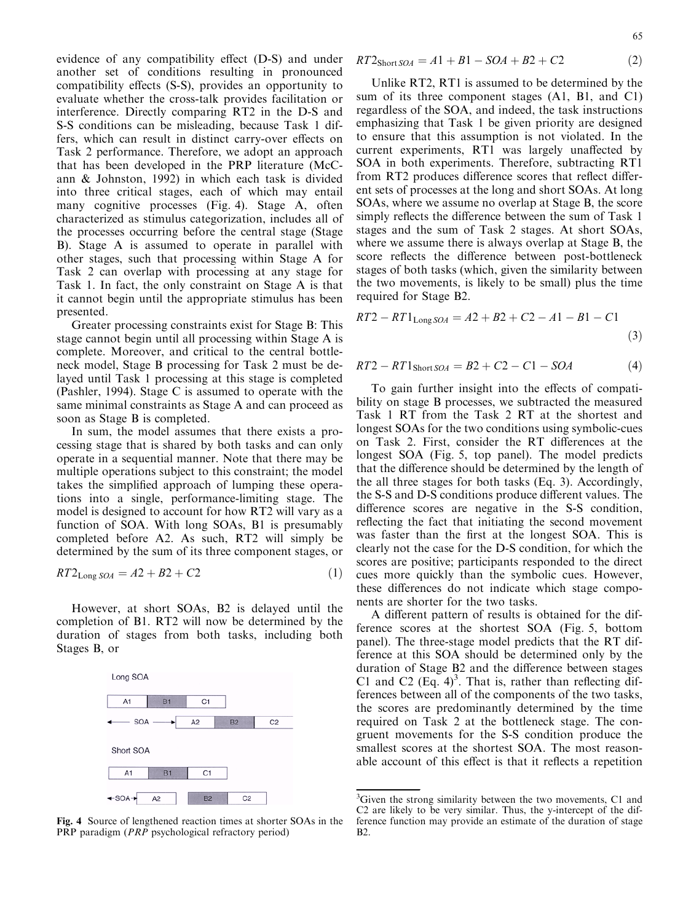evidence of any compatibility effect (D-S) and under another set of conditions resulting in pronounced compatibility effects (S-S), provides an opportunity to evaluate whether the cross-talk provides facilitation or interference. Directly comparing RT2 in the D-S and S-S conditions can be misleading, because Task 1 differs, which can result in distinct carry-over effects on Task 2 performance. Therefore, we adopt an approach that has been developed in the PRP literature (McCann & Johnston, 1992) in which each task is divided into three critical stages, each of which may entail many cognitive processes (Fig. 4). Stage A, often characterized as stimulus categorization, includes all of the processes occurring before the central stage (Stage B). Stage A is assumed to operate in parallel with other stages, such that processing within Stage A for Task 2 can overlap with processing at any stage for Task 1. In fact, the only constraint on Stage A is that it cannot begin until the appropriate stimulus has been presented.

Greater processing constraints exist for Stage B: This stage cannot begin until all processing within Stage A is complete. Moreover, and critical to the central bottleneck model, Stage B processing for Task 2 must be delayed until Task 1 processing at this stage is completed (Pashler, 1994). Stage C is assumed to operate with the same minimal constraints as Stage A and can proceed as soon as Stage B is completed.

In sum, the model assumes that there exists a processing stage that is shared by both tasks and can only operate in a sequential manner. Note that there may be multiple operations subject to this constraint; the model takes the simplified approach of lumping these operations into a single, performance-limiting stage. The model is designed to account for how RT2 will vary as a function of SOA. With long SOAs, B1 is presumably completed before A2. As such, RT2 will simply be determined by the sum of its three component stages, or

$$
RT2_{\text{Long }SOA} = A2 + B2 + C2 \tag{1}
$$

However, at short SOAs, B2 is delayed until the completion of B1. RT2 will now be determined by the duration of stages from both tasks, including both Stages B, or



Fig. 4 Source of lengthened reaction times at shorter SOAs in the PRP paradigm (PRP psychological refractory period)

65

Unlike RT2, RT1 is assumed to be determined by the sum of its three component stages (A1, B1, and C1) regardless of the SOA, and indeed, the task instructions emphasizing that Task 1 be given priority are designed to ensure that this assumption is not violated. In the current experiments, RT1 was largely unaffected by SOA in both experiments. Therefore, subtracting RT1 from RT2 produces difference scores that reflect different sets of processes at the long and short SOAs. At long SOAs, where we assume no overlap at Stage B, the score simply reflects the difference between the sum of Task 1 stages and the sum of Task 2 stages. At short SOAs, where we assume there is always overlap at Stage B, the score reflects the difference between post-bottleneck stages of both tasks (which, given the similarity between the two movements, is likely to be small) plus the time required for Stage B2.

$$
RT2 - RT1_{\text{Long }SOA} = A2 + B2 + C2 - A1 - B1 - C1
$$
\n(3)

$$
RT2 - RT1_{Short\,SOA} = B2 + C2 - C1 - SOA \tag{4}
$$

To gain further insight into the effects of compatibility on stage B processes, we subtracted the measured Task 1 RT from the Task 2 RT at the shortest and longest SOAs for the two conditions using symbolic-cues on Task 2. First, consider the RT differences at the longest SOA (Fig. 5, top panel). The model predicts that the difference should be determined by the length of the all three stages for both tasks (Eq. 3). Accordingly, the S-S and D-S conditions produce different values. The difference scores are negative in the S-S condition, reflecting the fact that initiating the second movement was faster than the first at the longest SOA. This is clearly not the case for the D-S condition, for which the scores are positive; participants responded to the direct cues more quickly than the symbolic cues. However, these differences do not indicate which stage components are shorter for the two tasks.

A different pattern of results is obtained for the difference scores at the shortest SOA (Fig. 5, bottom panel). The three-stage model predicts that the RT difference at this SOA should be determined only by the duration of Stage B2 and the difference between stages C1 and C2  $(Eq. 4)^3$ . That is, rather than reflecting differences between all of the components of the two tasks, the scores are predominantly determined by the time required on Task 2 at the bottleneck stage. The congruent movements for the S-S condition produce the smallest scores at the shortest SOA. The most reasonable account of this effect is that it reflects a repetition

<sup>&</sup>lt;sup>3</sup>Given the strong similarity between the two movements, C1 and C2 are likely to be very similar. Thus, the y-intercept of the difference function may provide an estimate of the duration of stage B2.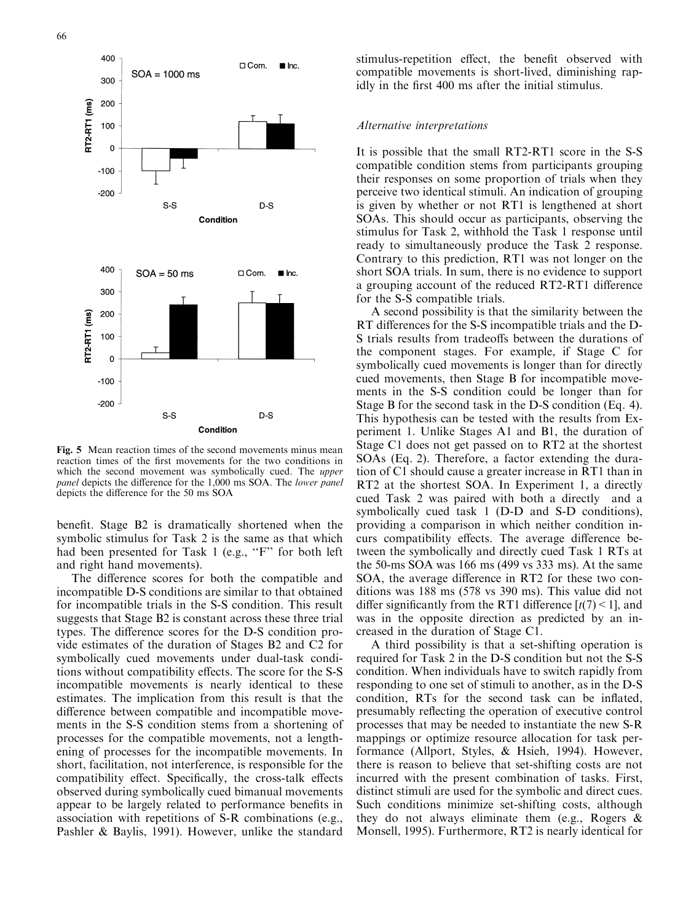



Fig. 5 Mean reaction times of the second movements minus mean reaction times of the first movements for the two conditions in which the second movement was symbolically cued. The upper panel depicts the difference for the 1,000 ms SOA. The lower panel depicts the difference for the 50 ms SOA

benefit. Stage B2 is dramatically shortened when the symbolic stimulus for Task 2 is the same as that which had been presented for Task 1 (e.g., "F" for both left and right hand movements).

The difference scores for both the compatible and incompatible D-S conditions are similar to that obtained for incompatible trials in the S-S condition. This result suggests that Stage B2 is constant across these three trial types. The difference scores for the D-S condition provide estimates of the duration of Stages B2 and C2 for symbolically cued movements under dual-task conditions without compatibility effects. The score for the S-S incompatible movements is nearly identical to these estimates. The implication from this result is that the difference between compatible and incompatible movements in the S-S condition stems from a shortening of processes for the compatible movements, not a lengthening of processes for the incompatible movements. In short, facilitation, not interference, is responsible for the compatibility effect. Specifically, the cross-talk effects observed during symbolically cued bimanual movements appear to be largely related to performance benefits in association with repetitions of S-R combinations (e.g., Pashler & Baylis, 1991). However, unlike the standard

stimulus-repetition effect, the benefit observed with compatible movements is short-lived, diminishing rapidly in the first 400 ms after the initial stimulus.

### Alternative interpretations

It is possible that the small RT2-RT1 score in the S-S compatible condition stems from participants grouping their responses on some proportion of trials when they perceive two identical stimuli. An indication of grouping is given by whether or not RT1 is lengthened at short SOAs. This should occur as participants, observing the stimulus for Task 2, withhold the Task 1 response until ready to simultaneously produce the Task 2 response. Contrary to this prediction, RT1 was not longer on the short SOA trials. In sum, there is no evidence to support a grouping account of the reduced RT2-RT1 difference for the S-S compatible trials.

A second possibility is that the similarity between the RT differences for the S-S incompatible trials and the D-S trials results from tradeoffs between the durations of the component stages. For example, if Stage C for symbolically cued movements is longer than for directly cued movements, then Stage B for incompatible movements in the S-S condition could be longer than for Stage B for the second task in the D-S condition (Eq. 4). This hypothesis can be tested with the results from Experiment 1. Unlike Stages A1 and B1, the duration of Stage C1 does not get passed on to RT2 at the shortest SOAs (Eq. 2). Therefore, a factor extending the duration of C1 should cause a greater increase in RT1 than in RT2 at the shortest SOA. In Experiment 1, a directly cued Task 2 was paired with both a directly and a symbolically cued task 1 (D-D and S-D conditions), providing a comparison in which neither condition incurs compatibility effects. The average difference between the symbolically and directly cued Task 1 RTs at the 50-ms SOA was 166 ms (499 vs 333 ms). At the same SOA, the average difference in RT2 for these two conditions was 188 ms (578 vs 390 ms). This value did not differ significantly from the RT1 difference  $[t(7) \le 1]$ , and was in the opposite direction as predicted by an increased in the duration of Stage C1.

A third possibility is that a set-shifting operation is required for Task 2 in the D-S condition but not the S-S condition. When individuals have to switch rapidly from responding to one set of stimuli to another, as in the D-S condition, RTs for the second task can be inflated, presumably reflecting the operation of executive control processes that may be needed to instantiate the new S-R mappings or optimize resource allocation for task performance (Allport, Styles, & Hsieh, 1994). However, there is reason to believe that set-shifting costs are not incurred with the present combination of tasks. First, distinct stimuli are used for the symbolic and direct cues. Such conditions minimize set-shifting costs, although they do not always eliminate them (e.g., Rogers & Monsell, 1995). Furthermore, RT2 is nearly identical for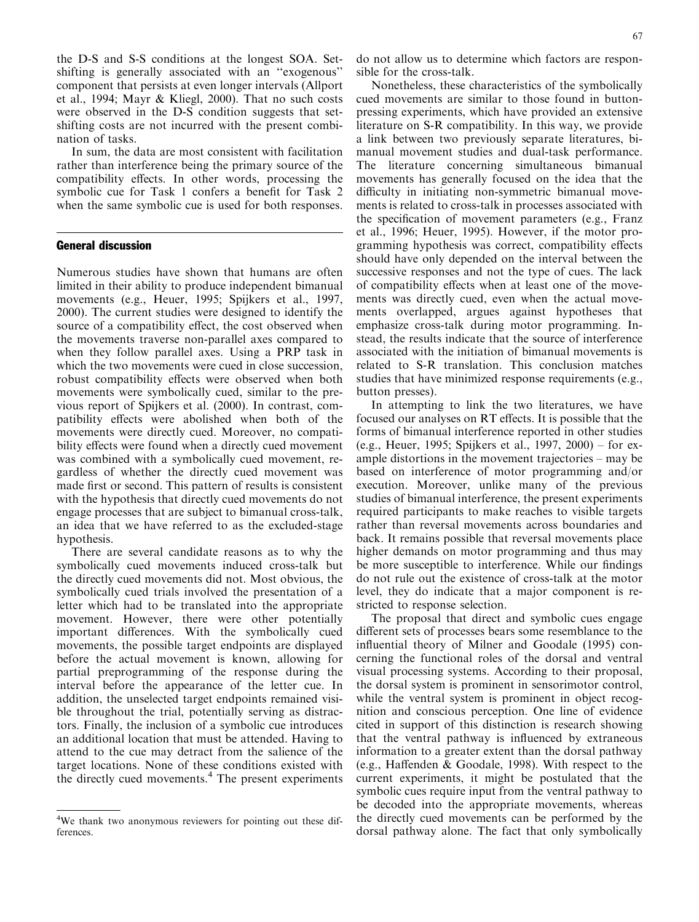the D-S and S-S conditions at the longest SOA. Setshifting is generally associated with an ''exogenous'' component that persists at even longer intervals (Allport et al., 1994; Mayr & Kliegl, 2000). That no such costs were observed in the D-S condition suggests that setshifting costs are not incurred with the present combination of tasks.

In sum, the data are most consistent with facilitation rather than interference being the primary source of the compatibility effects. In other words, processing the symbolic cue for Task 1 confers a benefit for Task 2 when the same symbolic cue is used for both responses.

# General discussion

Numerous studies have shown that humans are often limited in their ability to produce independent bimanual movements (e.g., Heuer, 1995; Spijkers et al., 1997, 2000). The current studies were designed to identify the source of a compatibility effect, the cost observed when the movements traverse non-parallel axes compared to when they follow parallel axes. Using a PRP task in which the two movements were cued in close succession, robust compatibility effects were observed when both movements were symbolically cued, similar to the previous report of Spijkers et al. (2000). In contrast, compatibility effects were abolished when both of the movements were directly cued. Moreover, no compatibility effects were found when a directly cued movement was combined with a symbolically cued movement, regardless of whether the directly cued movement was made first or second. This pattern of results is consistent with the hypothesis that directly cued movements do not engage processes that are subject to bimanual cross-talk, an idea that we have referred to as the excluded-stage hypothesis.

There are several candidate reasons as to why the symbolically cued movements induced cross-talk but the directly cued movements did not. Most obvious, the symbolically cued trials involved the presentation of a letter which had to be translated into the appropriate movement. However, there were other potentially important differences. With the symbolically cued movements, the possible target endpoints are displayed before the actual movement is known, allowing for partial preprogramming of the response during the interval before the appearance of the letter cue. In addition, the unselected target endpoints remained visible throughout the trial, potentially serving as distractors. Finally, the inclusion of a symbolic cue introduces an additional location that must be attended. Having to attend to the cue may detract from the salience of the target locations. None of these conditions existed with the directly cued movements.<sup>4</sup> The present experiments do not allow us to determine which factors are responsible for the cross-talk.

Nonetheless, these characteristics of the symbolically cued movements are similar to those found in buttonpressing experiments, which have provided an extensive literature on S-R compatibility. In this way, we provide a link between two previously separate literatures, bimanual movement studies and dual-task performance. The literature concerning simultaneous bimanual movements has generally focused on the idea that the difficulty in initiating non-symmetric bimanual movements is related to cross-talk in processes associated with the specification of movement parameters (e.g., Franz et al., 1996; Heuer, 1995). However, if the motor programming hypothesis was correct, compatibility effects should have only depended on the interval between the successive responses and not the type of cues. The lack of compatibility effects when at least one of the movements was directly cued, even when the actual movements overlapped, argues against hypotheses that emphasize cross-talk during motor programming. Instead, the results indicate that the source of interference associated with the initiation of bimanual movements is related to S-R translation. This conclusion matches studies that have minimized response requirements (e.g., button presses).

In attempting to link the two literatures, we have focused our analyses on RT effects. It is possible that the forms of bimanual interference reported in other studies (e.g., Heuer, 1995; Spijkers et al., 1997, 2000) – for example distortions in the movement trajectories – may be based on interference of motor programming and/or execution. Moreover, unlike many of the previous studies of bimanual interference, the present experiments required participants to make reaches to visible targets rather than reversal movements across boundaries and back. It remains possible that reversal movements place higher demands on motor programming and thus may be more susceptible to interference. While our findings do not rule out the existence of cross-talk at the motor level, they do indicate that a major component is restricted to response selection.

The proposal that direct and symbolic cues engage different sets of processes bears some resemblance to the influential theory of Milner and Goodale (1995) concerning the functional roles of the dorsal and ventral visual processing systems. According to their proposal, the dorsal system is prominent in sensorimotor control, while the ventral system is prominent in object recognition and conscious perception. One line of evidence cited in support of this distinction is research showing that the ventral pathway is influenced by extraneous information to a greater extent than the dorsal pathway (e.g., Haffenden & Goodale, 1998). With respect to the current experiments, it might be postulated that the symbolic cues require input from the ventral pathway to be decoded into the appropriate movements, whereas the directly cued movements can be performed by the dorsal pathway alone. The fact that only symbolically

<sup>&</sup>lt;sup>4</sup>We thank two anonymous reviewers for pointing out these differences.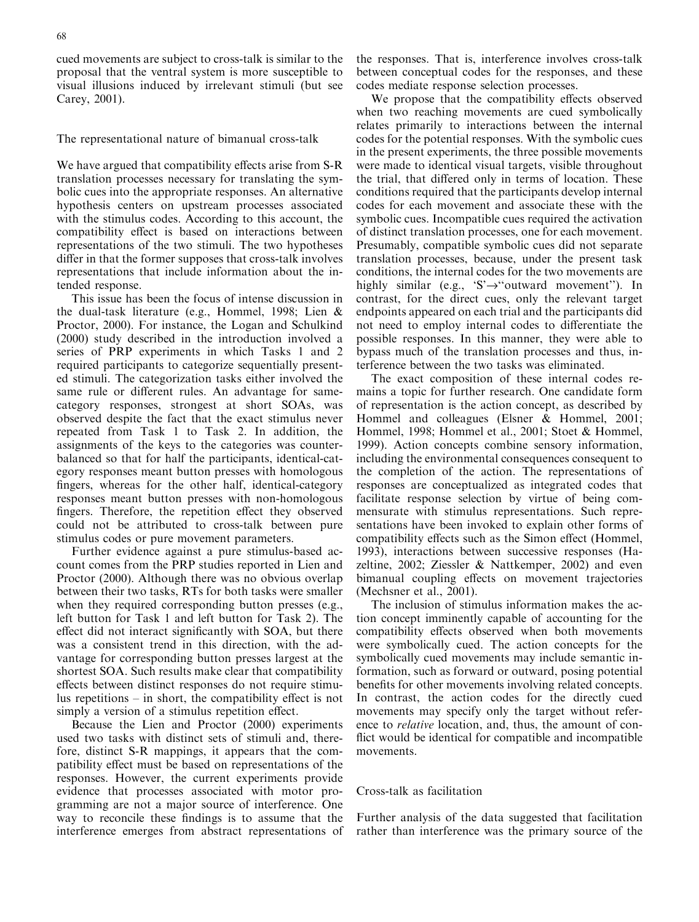cued movements are subject to cross-talk is similar to the proposal that the ventral system is more susceptible to visual illusions induced by irrelevant stimuli (but see Carey, 2001).

The representational nature of bimanual cross-talk

We have argued that compatibility effects arise from S-R translation processes necessary for translating the symbolic cues into the appropriate responses. An alternative hypothesis centers on upstream processes associated with the stimulus codes. According to this account, the compatibility effect is based on interactions between representations of the two stimuli. The two hypotheses differ in that the former supposes that cross-talk involves representations that include information about the intended response.

This issue has been the focus of intense discussion in the dual-task literature (e.g., Hommel, 1998; Lien & Proctor, 2000). For instance, the Logan and Schulkind (2000) study described in the introduction involved a series of PRP experiments in which Tasks 1 and 2 required participants to categorize sequentially presented stimuli. The categorization tasks either involved the same rule or different rules. An advantage for samecategory responses, strongest at short SOAs, was observed despite the fact that the exact stimulus never repeated from Task 1 to Task 2. In addition, the assignments of the keys to the categories was counterbalanced so that for half the participants, identical-category responses meant button presses with homologous fingers, whereas for the other half, identical-category responses meant button presses with non-homologous fingers. Therefore, the repetition effect they observed could not be attributed to cross-talk between pure stimulus codes or pure movement parameters.

Further evidence against a pure stimulus-based account comes from the PRP studies reported in Lien and Proctor (2000). Although there was no obvious overlap between their two tasks, RTs for both tasks were smaller when they required corresponding button presses (e.g., left button for Task 1 and left button for Task 2). The effect did not interact significantly with SOA, but there was a consistent trend in this direction, with the advantage for corresponding button presses largest at the shortest SOA. Such results make clear that compatibility effects between distinct responses do not require stimulus repetitions – in short, the compatibility effect is not simply a version of a stimulus repetition effect.

Because the Lien and Proctor (2000) experiments used two tasks with distinct sets of stimuli and, therefore, distinct S-R mappings, it appears that the compatibility effect must be based on representations of the responses. However, the current experiments provide evidence that processes associated with motor programming are not a major source of interference. One way to reconcile these findings is to assume that the interference emerges from abstract representations of

the responses. That is, interference involves cross-talk between conceptual codes for the responses, and these codes mediate response selection processes.

We propose that the compatibility effects observed when two reaching movements are cued symbolically relates primarily to interactions between the internal codes for the potential responses. With the symbolic cues in the present experiments, the three possible movements were made to identical visual targets, visible throughout the trial, that differed only in terms of location. These conditions required that the participants develop internal codes for each movement and associate these with the symbolic cues. Incompatible cues required the activation of distinct translation processes, one for each movement. Presumably, compatible symbolic cues did not separate translation processes, because, under the present task conditions, the internal codes for the two movements are highly similar (e.g., 'S' $\rightarrow$ "outward movement"). In contrast, for the direct cues, only the relevant target endpoints appeared on each trial and the participants did not need to employ internal codes to differentiate the possible responses. In this manner, they were able to bypass much of the translation processes and thus, interference between the two tasks was eliminated.

The exact composition of these internal codes remains a topic for further research. One candidate form of representation is the action concept, as described by Hommel and colleagues (Elsner & Hommel, 2001; Hommel, 1998; Hommel et al., 2001; Stoet & Hommel, 1999). Action concepts combine sensory information, including the environmental consequences consequent to the completion of the action. The representations of responses are conceptualized as integrated codes that facilitate response selection by virtue of being commensurate with stimulus representations. Such representations have been invoked to explain other forms of compatibility effects such as the Simon effect (Hommel, 1993), interactions between successive responses (Hazeltine, 2002; Ziessler & Nattkemper, 2002) and even bimanual coupling effects on movement trajectories (Mechsner et al., 2001).

The inclusion of stimulus information makes the action concept imminently capable of accounting for the compatibility effects observed when both movements were symbolically cued. The action concepts for the symbolically cued movements may include semantic information, such as forward or outward, posing potential benefits for other movements involving related concepts. In contrast, the action codes for the directly cued movements may specify only the target without reference to relative location, and, thus, the amount of conflict would be identical for compatible and incompatible movements.

# Cross-talk as facilitation

Further analysis of the data suggested that facilitation rather than interference was the primary source of the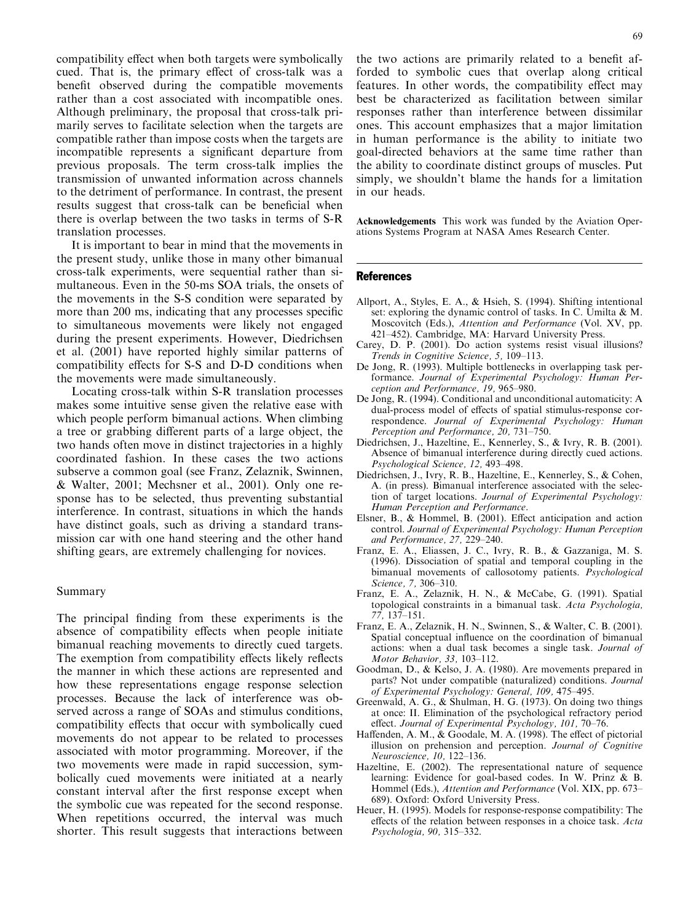compatibility effect when both targets were symbolically cued. That is, the primary effect of cross-talk was a benefit observed during the compatible movements rather than a cost associated with incompatible ones. Although preliminary, the proposal that cross-talk primarily serves to facilitate selection when the targets are compatible rather than impose costs when the targets are incompatible represents a significant departure from previous proposals. The term cross-talk implies the transmission of unwanted information across channels to the detriment of performance. In contrast, the present results suggest that cross-talk can be beneficial when there is overlap between the two tasks in terms of S-R translation processes.

It is important to bear in mind that the movements in the present study, unlike those in many other bimanual cross-talk experiments, were sequential rather than simultaneous. Even in the 50-ms SOA trials, the onsets of the movements in the S-S condition were separated by more than 200 ms, indicating that any processes specific to simultaneous movements were likely not engaged during the present experiments. However, Diedrichsen et al. (2001) have reported highly similar patterns of compatibility effects for S-S and D-D conditions when the movements were made simultaneously.

Locating cross-talk within S-R translation processes makes some intuitive sense given the relative ease with which people perform bimanual actions. When climbing a tree or grabbing different parts of a large object, the two hands often move in distinct trajectories in a highly coordinated fashion. In these cases the two actions subserve a common goal (see Franz, Zelaznik, Swinnen, & Walter, 2001; Mechsner et al., 2001). Only one response has to be selected, thus preventing substantial interference. In contrast, situations in which the hands have distinct goals, such as driving a standard transmission car with one hand steering and the other hand shifting gears, are extremely challenging for novices.

### Summary

The principal finding from these experiments is the absence of compatibility effects when people initiate bimanual reaching movements to directly cued targets. The exemption from compatibility effects likely reflects the manner in which these actions are represented and how these representations engage response selection processes. Because the lack of interference was observed across a range of SOAs and stimulus conditions, compatibility effects that occur with symbolically cued movements do not appear to be related to processes associated with motor programming. Moreover, if the two movements were made in rapid succession, symbolically cued movements were initiated at a nearly constant interval after the first response except when the symbolic cue was repeated for the second response. When repetitions occurred, the interval was much shorter. This result suggests that interactions between

the two actions are primarily related to a benefit afforded to symbolic cues that overlap along critical features. In other words, the compatibility effect may best be characterized as facilitation between similar responses rather than interference between dissimilar ones. This account emphasizes that a major limitation in human performance is the ability to initiate two goal-directed behaviors at the same time rather than the ability to coordinate distinct groups of muscles. Put simply, we shouldn't blame the hands for a limitation in our heads.

Acknowledgements This work was funded by the Aviation Operations Systems Program at NASA Ames Research Center.

### **References**

- Allport, A., Styles, E. A., & Hsieh, S. (1994). Shifting intentional set: exploring the dynamic control of tasks. In C. Umilta & M. Moscovitch (Eds.), Attention and Performance (Vol. XV, pp. 421–452). Cambridge, MA: Harvard University Press.
- Carey, D. P. (2001). Do action systems resist visual illusions? Trends in Cognitive Science, 5, 109–113.
- De Jong, R. (1993). Multiple bottlenecks in overlapping task performance. Journal of Experimental Psychology: Human Perception and Performance, 19, 965–980.
- De Jong, R. (1994). Conditional and unconditional automaticity: A dual-process model of effects of spatial stimulus-response correspondence. Journal of Experimental Psychology: Human Perception and Performance, 20, 731–750.
- Diedrichsen, J., Hazeltine, E., Kennerley, S., & Ivry, R. B. (2001). Absence of bimanual interference during directly cued actions. Psychological Science, 12, 493–498.
- Diedrichsen, J., Ivry, R. B., Hazeltine, E., Kennerley, S., & Cohen, A. (in press). Bimanual interference associated with the selection of target locations. Journal of Experimental Psychology: Human Perception and Performance.
- Elsner, B., & Hommel, B. (2001). Effect anticipation and action control. Journal of Experimental Psychology: Human Perception and Performance, 27, 229–240.
- Franz, E. A., Eliassen, J. C., Ivry, R. B., & Gazzaniga, M. S. (1996). Dissociation of spatial and temporal coupling in the bimanual movements of callosotomy patients. Psychological Science, 7, 306–310.
- Franz, E. A., Zelaznik, H. N., & McCabe, G. (1991). Spatial topological constraints in a bimanual task. Acta Psychologia, 77, 137–151.
- Franz, E. A., Zelaznik, H. N., Swinnen, S., & Walter, C. B. (2001). Spatial conceptual influence on the coordination of bimanual actions: when a dual task becomes a single task. Journal of Motor Behavior, 33, 103–112.
- Goodman, D., & Kelso, J. A. (1980). Are movements prepared in parts? Not under compatible (naturalized) conditions. Journal of Experimental Psychology: General, 109, 475–495.
- Greenwald, A. G., & Shulman, H. G. (1973). On doing two things at once: II. Elimination of the psychological refractory period effect. Journal of Experimental Psychology, 101, 70–76.
- Haffenden, A. M., & Goodale, M. A. (1998). The effect of pictorial illusion on prehension and perception. Journal of Cognitive Neuroscience, 10, 122–136.
- Hazeltine, E. (2002). The representational nature of sequence learning: Evidence for goal-based codes. In W. Prinz & B. Hommel (Eds.), Attention and Performance (Vol. XIX, pp. 673– 689). Oxford: Oxford University Press.
- Heuer, H. (1995). Models for response-response compatibility: The effects of the relation between responses in a choice task. Acta Psychologia, 90, 315–332.